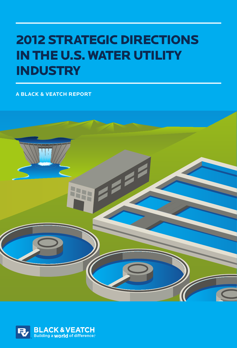# **2012 STRATEGIC DIRECTIONS** IN THE U.S. WATER UTILITY **INDUSTRY**

**a black & veatch report**



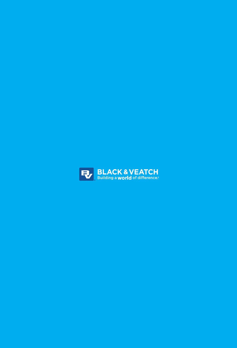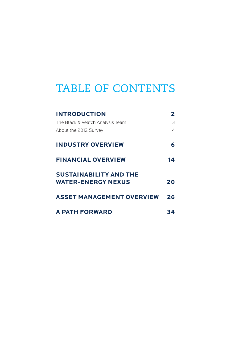# TABLE OF CONTENTS

| <b>INTRODUCTION</b>              | 2  |
|----------------------------------|----|
| The Black & Veatch Analysis Team | Β  |
| About the 2012 Survey            | 4  |
| <b>INDUSTRY OVERVIEW</b>         | 6  |
| <b>FINANCIAL OVERVIEW</b>        | 14 |
| <b>SUSTAINABILITY AND THE</b>    |    |
| <b>WATER-ENERGY NEXUS</b>        | 20 |
| <b>ASSET MANAGEMENT OVERVIEW</b> | 26 |
| <b>A PATH FORWARD</b>            | 34 |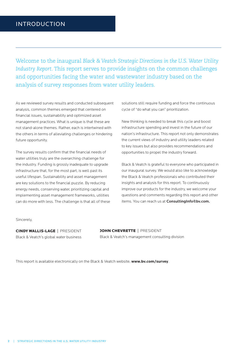### introduction

Welcome to the inaugural *Black & Veatch Strategic Directions in the U.S. Water Utility Industry Report*. This report serves to provide insights on the common challenges and opportunities facing the water and wastewater industry based on the analysis of survey responses from water utility leaders.

As we reviewed survey results and conducted subsequent analysis, common themes emerged that centered on financial issues, sustainability and optimized asset management practices. What is unique is that these are not stand-alone themes. Rather, each is intertwined with the others in terms of alleviating challenges or hindering future opportunity.

The survey results confirm that the financial needs of water utilities truly are the overarching challenge for the industry. Funding is grossly inadequate to upgrade infrastructure that, for the most part, is well past its useful lifespan. Sustainability and asset management are key solutions to the financial puzzle. By reducing energy needs, conserving water, prioritizing capital and implementing asset management frameworks, utilities can do more with less. The challenge is that all of these solutions still require funding and force the continuous cycle of "do what you can" prioritization.

New thinking is needed to break this cycle and boost infrastructure spending and invest in the future of our nation's infrastructure. This report not only demonstrates the current views of industry and utility leaders related to key issues but also provides recommendations and opportunities to propel the industry forward.

Black & Veatch is grateful to everyone who participated in our inaugural survey. We would also like to acknowledge the Black & Veatch professionals who contributed their insights and analysis for this report. To continuously improve our products for the industry, we welcome your questions and comments regarding this report and other items. You can reach us at ConsultingInfo@bv.com.

Sincerely,

Cindy Wallis-Lage | President Black & Veatch's global water business JOHN CHEVRETTE | PRESIDENT Black & Veatch's management consulting division

This report is available electronically on the Black & Veatch website, **www.bv.com/survey**.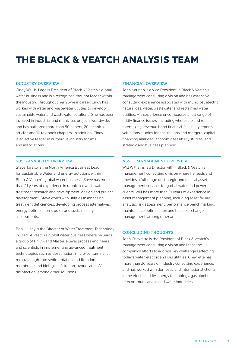## The Black & Veatch Analysis Team

#### **Industry Overview**

Cindy Wallis-Lage is President of Black & Veatch's global water business and is a recognized thought leader within the industry. Throughout her 25-year career, Cindy has worked with water and wastewater utilities to develop sustainable water and wastewater solutions. She has been involved in industrial and municipal projects worldwide, and has authored more than 50 papers, 20 technical articles and 10 textbook chapters. In addition, Cindy is an active leader in numerous industry forums and associations.

#### **Sustainability overview**

Steve Tarallo is the North America Business Lead for Sustainable Water and Energy Solutions within Black & Veatch's global water business. Steve has more than 21 years of experience in municipal wastewater treatment research and development, design and project development. Steve works with utilities in assessing treatment deficiencies, developing process alternatives, energy optimization studies and sustainability assessments.

Bob Hulsey is the Director of Water Treatment Technology in Black & Veatch's global water business where he leads a group of Ph.D.- and Master's-level process engineers and scientists in implementing advanced treatment technologies such as desalination, micro-contaminant removal, high-rate sedimentation and flotation, membrane and biological filtration, ozone, and UV disinfection, among other solutions.

#### **financial overview**

John Kersten is a Vice President in Black & Veatch's management consulting division and has extensive consulting experience associated with municipal electric, natural gas, water, wastewater and reclaimed water utilities. His experience encompasses a full range of utility finance issues, including wholesale and retail ratemaking, revenue bond financial feasibility reports, valuations studies for acquisitions and mergers, capital financing analyses, economic feasibility studies, and strategic and business planning.

#### **Asset Management Overview**

Will Williams is a Director within Black & Veatch's management consulting division where he leads and provides a full range of strategic and tactical asset management services for global water and power clients. Will has more than 21 years of experience in asset management planning, including asset failure analysis, risk assessment, performance benchmarking, maintenance optimization and business change management, among other areas.

#### **Concluding Thoughts**

John Chevrette is the President of Black & Veatch's management consulting division and leads the company's efforts to address key challenges affecting today's water, electric and gas utilities. Chevrette has more than 20 years of industry consulting experience, and has worked with domestic and international clients in the electric utility, energy technology, gas pipeline, telecommunications and water industries.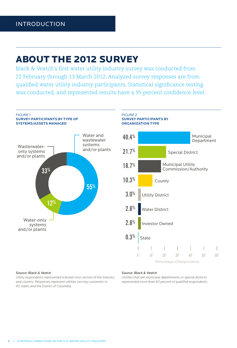## ABOUT THE 2012 SURVEY

Black & Veatch's first water utility industry survey was conducted from 22 February through 13 March 2012. Analyzed survey responses are from qualified water utility industry participants. Statistical significance testing was conducted, and represented results have a 95 percent confidence level.



#### *Figure 2*  **Sur vey Par tici pants by ORGANIZATION TYPE**



#### *Source: Black & Veatch*

*Utility respondents represented a broad cross section of the industry and country. Responses represent utilities serving customers in 45 states and the District of Columbia.* 

#### *Source: Black & Veatch*

*Utilities that are municipal departments or special districts represented more than 60 percent of qualified respondents.*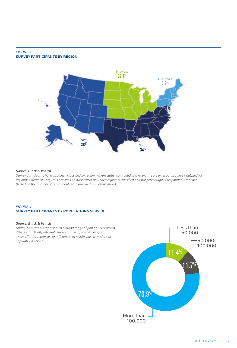#### *Figure 3*  **Sur vey Par tici pants by Region**



#### *Source: Black & Veatch*

*Survey participants have also been classified by region. Where statistically valid and relevant, survey responses were analyzed for regional differences. Figure 3 provides an overview of how each region is classified and the percentage of respondents for each (based on the number of respondents who provided this information).*

#### *Figure 4*  **Sur vey Par tici pants by Po pula tion s Ser ved**

#### *Source: Black & Veatch*

*Survey participants represented a broad range of populations served. Where statistically relevant, survey analysis provides insights on specific discrepancies or differences in results based on sizes of populations served.* 

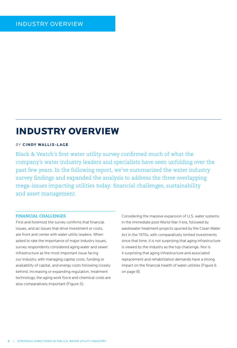## industry overview

#### **BY CINDY WALLIS-LAGE**

Black & Veatch's first water utility survey confirmed much of what the company's water industry leaders and specialists have seen unfolding over the past few years. In the following report, we've summarized the water industry survey findings and expanded the analysis to address the three overlapping mega-issues impacting utilities today: financial challenges, sustainability and asset management.

#### **FINANCIAL CHALLENGES**

First and foremost the survey confirms that financial issues, and all issues that drive investment or costs, are front and center with water utility leaders. When asked to rate the importance of major industry issues, survey respondents considered aging water and sewer infrastructure as the most important issue facing our industry, with managing capital costs, funding or availability of capital, and energy costs following closely behind. Increasing or expanding regulation, treatment technology, the aging work force and chemical costs are also comparatively important (Figure 5).

Considering the massive expansion of U.S. water systems in the immediate post-World War II era, followed by wastewater treatment projects spurred by the Clean Water Act in the 1970s, with comparatively limited investments since that time, it is not surprising that aging infrastructure is viewed by the industry as the top challenge. Nor is it surprising that aging infrastructure and associated replacement and rehabilitation demands have a strong impact on the financial health of water utilities (Figure 6 on page 8).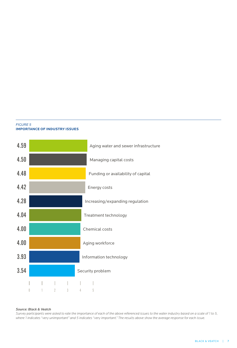#### *Figure 5* **IMPORTANCE OF INDUSTRY ISSUES**



#### *Source: Black & Veatch*

*Survey participants were asked to rate the importance of each of the above referenced issues to the water industry based on a scale of 1 to 5, where 1 indicates "very unimportant" and 5 indicates "very important." The results above show the average response for each issue.*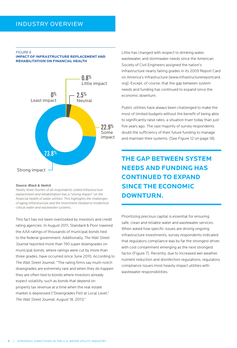### Industry overview

#### *Figure 6*

#### **IMPACT OF INFRASTRUCTURE REPLACEMENT AND REHABILITATION ON FINANCIAL HEALTH**



#### *Source: Black & Veatch*

*Nearly three-fourths of all respondents stated infrastructure replacement and rehabilitation has a "strong impact" on the financial health of water utilities. This highlights the challenges of aging infrastructure and the investment needed to modernize critical water and wastewater systems.*

This fact has not been overlooked by investors and credit rating agencies. In August 2011, Standard & Poor lowered the AAA ratings of thousands of municipal bonds tied to the federal government. Additionally, *The Wall Street Journal* reported more than 190 super downgrades on municipal bonds, where ratings were cut by more than three grades, have occurred since June 2010. According to *The Wall Street Journal*, "The rating firms say multi-notch downgrades are extremely rare and when they do happen they are often tied to bonds where investors already expect volatility, such as bonds that depend on property tax revenue at a time when the real estate market is depressed ("Downgrades Felt at Local Level." *The Wall Street Journal*. August 18, 2011)."

Little has changed with respect to drinking water, wastewater, and stormwater needs since the American Society of Civil Engineers assigned the nation's infrastructure nearly failing grades in its 2009 Report Card on America's Infrastructure (www.infrastructurereportcard. org). Except, of course, that the gap between system needs and funding has continued to expand since the economic downturn.

Public utilities have always been challenged to make the most of limited budgets without the benefit of being able to significantly raise rates, a situation truer today than just five years ago. The vast majority of survey respondents doubt the sufficiency of their future funding to manage and maintain their systems. (See Figure 12 on page 18).

## **the gap between system needs and funding has continued to expand SINCE THE ECONOMIC DOWNTURN.**

Prioritizing precious capital is essential for ensuring safe, clean and reliable water and wastewater services. When asked how specific issues are driving ongoing infrastructure investments, survey respondents indicated that regulatory compliance was by far the strongest driver, with cost containment emerging as the next strongest factor (Figure 7). Recently, due to increased wet weather, nutrient reduction and disinfection regulations, regulatory compliance issues most heavily impact utilities with wastewater responsibilities.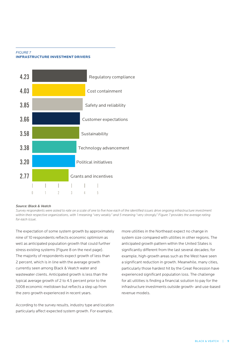#### *Figure 7* **INFRASTRUCTURE INVESTMENT DRIVERS**



#### *Source: Black & Veatch*

*Survey respondents were asked to rate on a scale of one to five how each of the identified issues drive ongoing infrastructure investment within their respective organizations, with 1 meaning "very weakly" and 5 meaning "very strongly." Figure 7 provides the average rating for each issue.* 

The expectation of some system growth by approximately nine of 10 respondents reflects economic optimism as well as anticipated population growth that could further stress existing systems (Figure 8 on the next page). The majority of respondents expect growth of less than 2 percent, which is in line with the average growth currently seen among Black & Veatch water and wastewater clients. Anticipated growth is less than the typical average growth of 2 to 4.5 percent prior to the 2008 economic meltdown but reflects a step up from the zero growth experienced in recent years.

According to the survey results, industry type and location particularly affect expected system growth. For example,

more utilities in the Northeast expect no change in system size compared with utilities in other regions. The anticipated growth pattern within the United States is significantly different from the last several decades; for example, high-growth areas such as the West have seen a significant reduction in growth. Meanwhile, many cities, particularly those hardest hit by the Great Recession have experienced significant population loss. The challenge for all utilities is finding a financial solution to pay for the infrastructure investments outside growth- and use-based revenue models.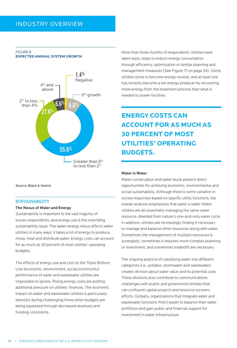

#### *Figure 8* **Expected Annual System Growth**

*Source: Black & Veatch*

#### **SUSTAINABILITY**

#### The Nexus of Water and Energy

Sustainability is important to the vast majority of survey respondents, and energy use is the overriding sustainability issue. The water-energy nexus affects water utilities in many ways; it takes a lot of energy to produce, move, treat and distribute water. Energy costs can account for as much as 30 percent of most utilities' operating budgets.

The effects of energy use and cost on the Triple Bottom Line (economic, environment, social/community) performance of water and wastewater utilities are impossible to ignore. Rising energy costs are putting additional pressure on utilities' finances. The economic impact on water and wastewater utilities is particularly stressful during challenging times when budgets are being squeezed through decreased revenues and funding constraints.

More than three-fourths of respondents' utilities have taken basic steps to reduce energy consumption through efficiency, optimization or similar planning and management measures (See Figure 17 on page 24). Some utilities strive to become energy neutral, and at least one has recently become a net energy producer by recovering more energy from the treatment process than what is needed to power facilities.

## **ENERGY COSTS CAN ACCOUNT FOR AS MUCH AS 30 PERCENT OF MOST UTILITIES' OPERATING budgets.**

#### Water is Water

Water conservation and water reuse present direct opportunities for achieving economic, environmental and social sustainability. Although there is some variation in survey responses based on specific utility functions, the overall analysis emphasizes that water is water. Water utilities are all essentially managing the same water resource, diverted from nature's one-and-only water cycle. In addition, utilities are increasingly finding it necessary to manage and balance other resources along with water. Sometimes the management of multiple resources is synergistic; sometimes it requires more complex planning or investment; and sometimes tradeoffs are necessary.

The ongoing practice of classifying water into different categories (i.e., potable, stormwater and wastewater) creates division about water value and its potential uses. These divisions also contribute to communications challenges with public and government entities that can confound capital projects and resource recovery efforts. Globally, organizations that integrate water and wastewater functions find it easier to balance their water portfolios and gain public and financial support for investment in water infrastructure.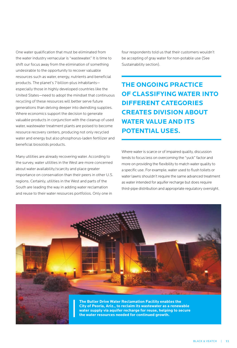One water qualification that must be eliminated from the water industry vernacular is "wastewater." It is time to shift our focus away from the elimination of something undesirable to the opportunity to recover valuable resources such as water, energy, nutrients and beneficial products. The planet's 7 billion-plus inhabitants especially those in highly developed countries like the United States—need to adopt the mindset that continuous recycling of these resources will better serve future generations than delving deeper into dwindling supplies. Where economics support the decision to generate valuable products in conjunction with the cleanup of used water, wastewater treatment plants are poised to become resource recovery centers, producing not only recycled water and energy but also phosphorus-laden fertilizer and beneficial biosolids products.

Many utilities are already recovering water. According to the survey, water utilities in the West are more concerned about water availability/scarcity and place greater importance on conservation than their peers in other U.S. regions. Certainly, utilities in the West and parts of the South are leading the way in adding water reclamation and reuse to their water resources portfolios. Only one in

four respondents told us that their customers wouldn't be accepting of gray water for non-potable use (See Sustainability section).

**The ongoing practice OF CLASSIFYING WATER INTO DIFFERENT CATEGORIES creates division about water value and its potential uses.**

Where water is scarce or of impaired quality, discussion tends to focus less on overcoming the "yuck" factor and more on providing the flexibility to match water quality to a specific use. For example, water used to flush toilets or water lawns shouldn't require the same advanced treatment as water intended for aquifer recharge but does require third-pipe distribution and appropriate regulatory oversight.

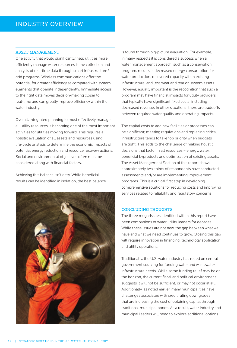#### **ASSET MANAGEMENT**

One activity that would significantly help utilities more efficiently manage water resources is the collection and analysis of real-time data through smart infrastructure/ grid programs. Wireless communications offer the potential for greater efficiency as compared with system elements that operate independently. Immediate access to the right data moves decision-making closer to real-time and can greatly improve efficiency within the water industry.

Overall, integrated planning to most effectively manage all utility resources is becoming one of the most important activities for utilities moving forward. This requires a holistic evaluation of all assets and resources using life-cycle analysis to determine the economic impacts of potential energy reduction and resource recovery actions. Social and environmental objectives often must be considered along with financial factors.

Achieving this balance isn't easy. While beneficial results can be identified in isolation, the best balance



is found through big-picture evaluation. For example, in many respects it is considered a success when a water management approach, such as a conservation program, results in decreased energy consumption for water production, recovered capacity within existing infrastructure, and less wear and tear on system assets. However, equally important is the recognition that such a program may have financial impacts for utility providers that typically have significant fixed costs, including decreased revenue. In other situations, there are tradeoffs between required water quality and operating impacts.

The capital costs to add new facilities or processes can be significant; meeting regulations and replacing critical infrastructure tends to take top priority when budgets are tight. This adds to the challenge of making holistic decisions that factor in all resources – energy, water, beneficial byproducts and optimization of existing assets. The Asset Management Section of this report shows approximately two-thirds of respondents have conducted assessments and/or are implementing improvement programs. This is a critical first step in developing comprehensive solutions for reducing costs and improving services related to reliability and regulatory concerns.

#### **CONCLUDING THOUGHTS**

The three mega-issues identified within this report have been companions of water utility leaders for decades. While these issues are not new, the gap between what we have and what we need continues to grow. Closing this gap will require innovation in financing, technology application and utility operations.

Traditionally, the U.S. water industry has relied on central government sourcing for funding water and wastewater infrastructure needs. While some funding relief may be on the horizon, the current fiscal and political environment suggests it will not be sufficient, or may not occur at all. Additionally, as noted earlier, many municipalities have challenges associated with credit rating downgrades that are increasing the cost of obtaining capital through traditional municipal bonds. As a result, water industry and municipal leaders will need to explore additional options.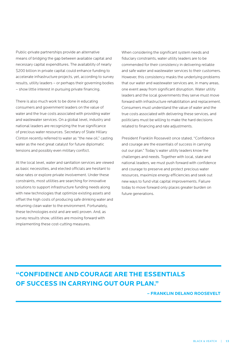Public-private partnerships provide an alternative means of bridging the gap between available capital and necessary capital expenditures. The availability of nearly \$200 billion in private capital could enhance funding to accelerate infrastructure projects, yet, according to survey results, utility leaders – or perhaps their governing bodies – show little interest in pursuing private financing.

There is also much work to be done in educating consumers and government leaders on the value of water and the true costs associated with providing water and wastewater services. On a global level, industry and national leaders are recognizing the true significance of precious water resources. Secretary of State Hillary Clinton recently referred to water as "the new oil," casting water as the next great catalyst for future diplomatic tensions and possibly even military conflict.

At the local level, water and sanitation services are viewed as basic necessities, and elected officials are hesitant to raise rates or explore private involvement. Under these constraints, most utilities are searching for innovative solutions to support infrastructure funding needs along with new technologies that optimize existing assets and offset the high costs of producing safe drinking water and returning clean water to the environment. Fortunately, these technologies exist and are well proven. And, as survey results show, utilities are moving forward with implementing these cost-cutting measures.

When considering the significant system needs and fiduciary constraints, water utility leaders are to be commended for their consistency in delivering reliable and safe water and wastewater services to their customers. However, this consistency masks the underlying problems that our water and wastewater services are, in many areas, one event away from significant disruption. Water utility leaders and the local governments they serve must move forward with infrastructure rehabilitation and replacement. Consumers must understand the value of water and the true costs associated with delivering these services, and politicians must be willing to make the hard decisions related to financing and rate adjustments.

President Franklin Roosevelt once stated, "Confidence and courage are the essentials of success in carrying out our plan." Today's water utility leaders know the challenges and needs. Together with local, state and national leaders, we must push forward with confidence and courage to preserve and protect precious water resources, maximize energy efficiencies and seek out new ways to fund vital capital improvements. Failure today to move forward only places greater burden on future generations.

### **"Confidence and courage are the essentials of success in carr ying out our plan ."**

 **– FRANKLIN DELANO ROOSEVELT**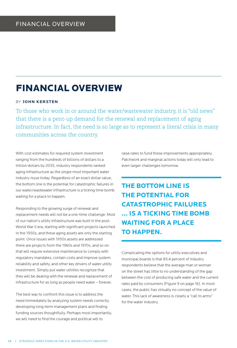## financial overview

#### By **john kersten**

To those who work in or around the water/wastewater industry, it is "old news" that there is a pent-up demand for the renewal and replacement of aging infrastructure. In fact, the need is so large as to represent a literal crisis in many communities across the country.

With cost estimates for required system investment ranging from the hundreds of billions of dollars to a trillion dollars by 2035, industry respondents ranked aging infrastructure as the single most important water industry issue today. Regardless of an exact dollar value, the bottom line is the potential for catastrophic failures in our water/wastewater infrastructure is a ticking time bomb waiting for a place to happen.

Responding to the growing surge of renewal and replacement needs will not be a one-time challenge. Most of our nation's utility infrastructure was built in the post-World War II era, starting with significant projects launched in the 1950s, and these aging assets are only the starting point. Once issues with 1950s assets are addressed there are projects from the 1960s and 1970s, and so on that will require extensive maintenance to comply with regulatory mandates, contain costs and improve system reliability and safety, and other key drivers of water utility investment. Simply put water utilities recognize that they will be dealing with the renewal and replacement of infrastructure for as long as people need water – forever.

The best way to confront this issue is to address the need immediately by analyzing system needs correctly, developing long-term management plans and finding funding sources thoughtfully. Perhaps most importantly, we will need to find the courage and political will to

raise rates to fund these improvements appropriately. Patchwork and marginal actions today will only lead to even larger challenges tomorrow.

### **The bottom line is the potential for CATASTROPHIC FAILURES … is a ticking time bomb waiting for a place to happen.**

Complicating the options for utility executives and municipal boards is that 85.4 percent of industry respondents believe that the average man or woman on the street has little to no understanding of the gap between the cost of producing safe water and the current rates paid by consumers (Figure 9 on page 16). In most cases, the public has virtually no concept of the value of water. This lack of awareness is clearly a "call to arms" for the water industry.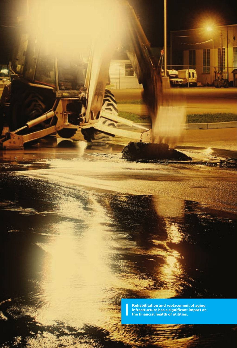**Rehabilitation and replacement of aging infrastructure has a significant impact on the financial health of utilities.**

black & Veatch | **15**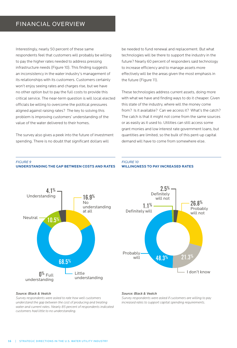### financial overview

Interestingly, nearly 50 percent of these same respondents feel that customers will probably be willing to pay the higher rates needed to address pressing infrastructure needs (Figure 10). This finding suggests an inconsistency in the water industry's management of its relationships with its customers. Customers certainly won't enjoy seeing rates and charges rise, but we have no other option but to pay the full costs to provide this critical service. The near-term question is will local elected officials be willing to overcome the political pressures aligned against raising rates? The key to solving this problem is improving customers' understanding of the value of the water delivered to their homes.

The survey also gives a peek into the future of investment spending. There is no doubt that significant dollars will

be needed to fund renewal and replacement. But what technologies will be there to support the industry in the future? Nearly 60 percent of responders said technology to increase efficiency and to manage assets more effectively will be the areas given the most emphasis in the future (Figure 11).

These technologies address current assets, doing more with what we have and finding ways to do it cheaper. Given this state of the industry, where will the money come from? Is it available? Can we access it? What's the catch? The catch is that it might not come from the same sources or as easily as it used to. Utilities can still access some grant monies and low interest rate government loans, but quantities are limited, so the bulk of this pent-up capital demand will have to come from somewhere else.

#### *Figure 9*  **under standing the ga p be tween co sts and ra tes**



#### *Figure 10*  **WILLINGNESS TO PAY INCREASED RATES**



#### *Source: Black & Veatch*

*Survey respondents were asked to rate how well customers understand the gap between the cost of producing and treating water and current rates. Nearly 85 percent of respondents indicated customers had little to no understanding.* 

#### *Source: Black & Veatch*

*Survey respondents were asked if customers are willing to pay increased rates to support capital spending requirements.*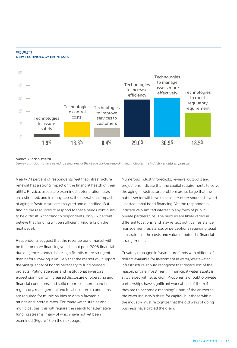#### *Figure 11* **NEW TECHNOLOGY EMPHASIS**



*Source: Black & Veatch* 

*Survey participants were asked to select one of the above choices regarding technologies the industry should emphasize.* 

Nearly 74 percent of respondents feel that infrastructure renewal has a strong impact on the financial health of their utility. Physical assets are examined, deterioration rates are estimated, and in many cases, the operational impacts of aging infrastructure are analyzed and quantified. But finding the resources to respond to these needs continues to be difficult. According to respondents, only 27 percent believe that funding will be sufficient (Figure 12 on the next page).

Respondents suggest that the revenue bond market will be their primary financing vehicle, but post-2008 financial due diligence standards are significantly more stringent than before, making it unlikely that the market will support the vast quantity of bonds necessary to fund needed projects. Rating agencies and institutional investors expect significantly increased disclosure of operating and financial conditions, and solid reports on non-financial, regulatory, management and local economic conditions are required for municipalities to obtain favorable ratings and interest rates. For many water utilities and municipalities, this will require the search for alternative funding streams, many of which have not yet been examined (Figure 13 on the next page).

Numerous industry forecasts, reviews, outlooks and projections indicate that the capital requirements to solve the aging infrastructure problem are so large that the public sector will have to consider other sources beyond just traditional bond financing. Yet the respondents indicate very limited interest in any form of publicprivate partnerships. The hurdles are likely varied in different locations, and may reflect political resistance, management resistance, or perceptions regarding legal constraints or the costs and value of potential financial arrangements.

Privately managed infrastructure funds with billions of dollars available for investment in water/wastewater infrastructure should recognize that regardless of the reason, private investment in municipal water assets is still viewed with suspicion. Proponents of public-private partnerships have significant work ahead of them if they are to become a meaningful part of the answer to the water industry's thirst for capital, but those within the industry must recognize that the old ways of doing business have circled the drain.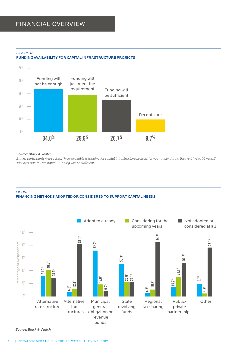### financial overview



#### *Figure 12* **Funding Availabili ty for Capital Infra struc ture Pro jecTS**

#### *Source: Black & Veatch*

*Survey participants were asked, "How available is funding for capital infrastructure projects for your utility during the next five to 10 years?" Just over one-fourth stated "Funding will be sufficient."*

#### *Figure 13*  **Financing Me thods Adopted or Considered to Su pport Capital Need s**



*Source: Black & Veatch*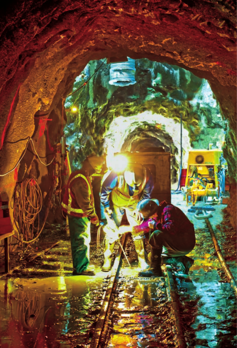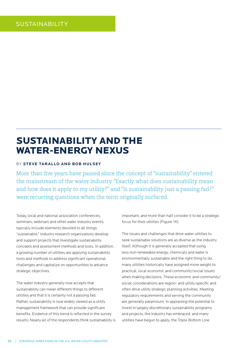## sustainability and the water-energy nexus

#### By **steve tarallo and bob hulsey**

More than five years have passed since the concept of "sustainability" entered the mainstream of the water industry. "Exactly what does sustainability mean and how does it apply to my utility?" and "Is sustainability just a passing fad?" were recurring questions when the term originally surfaced.

Today, local and national association conferences, seminars, webinars and other water industry events, typically include elements devoted to all things "sustainable." Industry research organizations develop and support projects that investigate sustainability concepts and assessment methods and tools. In addition, a growing number of utilities are applying sustainability tools and methods to address significant operational challenges and capitalize on opportunities to advance strategic objectives.

The water industry generally now accepts that sustainability can mean different things to different utilities and that it is certainly not a passing fad. Rather, sustainability is now widely viewed as a utility management framework that can provide significant benefits. Evidence of this trend is reflected in the survey results: Nearly all of the respondents think sustainability is important, and more than half consider it to be a strategic focus for their utilities (Figure 14).

The issues and challenges that drive water utilities to seek sustainable solutions are as diverse as the industry itself. Although it is generally accepted that using less non-renewable energy, chemicals and water is environmentally sustainable and the right thing to do, many utilities historically have assigned more weight to practical, local economic and community/social issues when making decisions. These economic and community/ social considerations are region- and utility-specific and often drive utility strategic planning activities. Meeting regulatory requirements and serving the community are generally paramount. In appraising the potential to invest in largely discretionary sustainability programs and projects, the industry has embraced, and many utilities have begun to apply, the Triple Bottom Line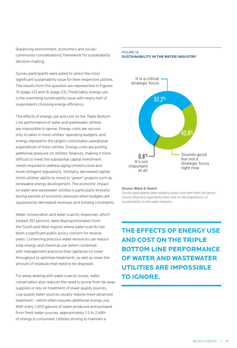(balancing environment, economics and social/ community considerations) framework for sustainability decision-making.

Survey participants were asked to select the most significant sustainability issue for their respective utilities. The results from this question are represented in Figures 15 (page 22) and 16 (page 23). Predictably, energy use is the overriding sustainability issue with nearly half of respondents choosing energy efficiency.

The effects of energy use and cost on the Triple Bottom Line performance of water and wastewater utilities are impossible to ignore. Energy costs are second only to labor in most utilities' operating budgets, and energy represents the largest controllable operational expenditure of most utilities. Energy costs are putting additional pressure on utilities' finances, making it more difficult to meet the substantial capital investment needs required to address aging infrastructure and more stringent regulations. Similarly, decreased capital limits utilities' ability to invest in "green" projects such as renewable energy development. The economic impact on water and wastewater utilities is particularly stressful during periods of economic pressure when budgets are squeezed by decreased revenues and funding constraints.

Water conservation and water scarcity responses, which totaled 39.1 percent, were disproportionately from the South and West regions where water scarcity has been a significant public policy concern for several years. Conserving precious water resources can reduce total energy and chemical use (when combined with management practices that capitalize on lower throughput to optimize treatment), as well as lower the amount of residuals that need to be disposed.

For areas dealing with water scarcity issues, water conservation also reduces the need to pump from far away supplies or rely on treatment of lower quality sources. Low quality water sources usually require more advanced treatment – which often requires additional energy use. With every 1,000 gallons of water produced and pumped from fresh water sources, approximately 1.5 to 2 kWh of energy is consumed. Utilities striving to maintain a

#### *Figure 14*  **SUSTAINABILITY IN THE WATER INDUSTRY**



#### *Source: Black & Veatch*

*Survey participants were asked to select one item from the above choices that best represents their view on the importance of sustainability in the water industry.*

**The effects of energ y use AND COST ON THE TRIPLE Bottom Line performance of wa ter and wa stewa ter utilities are impossible to ignore.**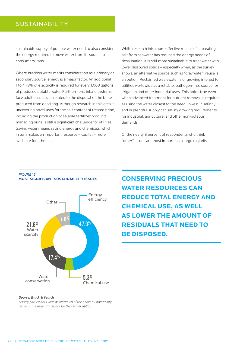### **SUSTAINABILITY**

sustainable supply of potable water need to also consider the energy required to move water from its source to consumers' taps.

Where brackish water merits consideration as a primary or secondary source, energy is a major factor. An additional 1 to 4 kWh of electricity is required for every 1,000 gallons of produced potable water. Furthermore, inland systems face additional issues related to the disposal of the brine produced from desalting. Although research in this area is uncovering novel uses for the salt content of treated brine, including the production of salable fertilizer products, managing brine is still a significant challenge for utilities. Saving water means saving energy and chemicals, which in turn makes an important resource – capital – more available for other uses.

While research into more effective means of separating salt from seawater has reduced the energy needs of desalination, it is still more sustainable to treat water with lower dissolved solids – especially when, as the survey shows, an alternative source such as "gray water" reuse is an option. Reclaimed wastewater is of growing interest to utilities worldwide as a reliable, pathogen-free source for irrigation and other industrial uses. This holds true even when advanced treatment for nutrient removal is required, as using the water closest to the need, lowest in salinity and in plentiful supply can satisfy growing requirements for industrial, agricultural and other non-potable demands.

Of the nearly 8 percent of respondents who think "other" issues are most important, a large majority

#### *Figure 15*  **most Significan t sustainabili ty issues**



**Conserving precious WATER RESOURCES CAN REDUCE TOTAL ENERGY AND chemical use, as well as lower the amount of RESIDUALS THAT NEED TO be disposed.**

#### *Source: Black & Veatch*

*Survey participants were asked which of the above sustainability issues is the most significant for their water utility.*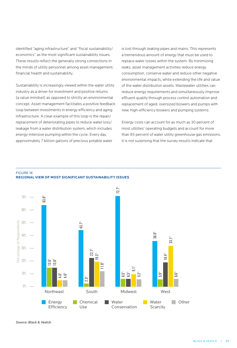identified "aging infrastructure" and "fiscal sustainability/ economics" as the most significant sustainability issues. These results reflect the generally strong connections in the minds of utility personnel among asset management, financial health and sustainability.

Sustainability is increasingly viewed within the water utility industry as a driver for investment and positive returns (a value mindset) as opposed to strictly an environmental concept. Asset management facilitates a positive feedback loop between investments in energy efficiency and aging infrastructure. A clear example of this loop is the repair/ replacement of deteriorating pipes to reduce water loss/ leakage from a water distribution system, which includes energy-intensive pumping within the cycle. Every day, approximately 7 billion gallons of precious potable water

is lost through leaking pipes and mains. This represents a tremendous amount of energy that must be used to replace water losses within the system. By minimizing leaks, asset management activities reduce energy consumption, conserve water and reduce other negative environmental impacts, while extending the life and value of the water distribution assets. Wastewater utilities can reduce energy requirements and simultaneously improve effluent quality through process control automation and replacement of aged, oversized blowers and pumps with new, high-efficiency blowers and pumping systems.

Energy costs can account for as much as 30 percent of most utilities' operating budgets and account for more than 85 percent of water utility greenhouse gas emissions. It is not surprising that the survey results indicate that

#### *Figure 16*  **Regional View of Mo st Significan t Su stainabili ty Issues**

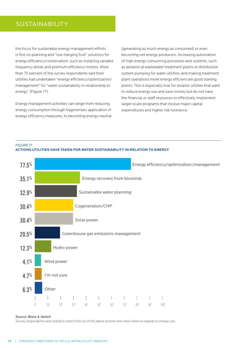### **SUSTAINABILITY**

the focus for sustainable energy management efforts is first on planning and "low-hanging fruit" solutions for energy efficiency/conservation, such as installing variable frequency drives and premium efficiency motors. More than 75 percent of the survey respondents said their utilities had undertaken "energy efficiency/optimization/ management" for "water sustainability in relationship to energy" (Figure 17).

Energy management activities can range from reducing energy consumption through fragmentary application of energy efficiency measures, to becoming energy-neutral

(generating as much energy as consumed) or even becoming net energy producers. Increasing automation of high energy-consuming processes and systems, such as aeration at wastewater treatment plants or distribution system pumping for water utilities, and making treatment plant operations more energy efficient are good starting points. This is especially true for smaller utilities that want to reduce energy use and save money but do not have the financial or staff resources to effectively implement larger-scale programs that involve major capital expenditures and higher risk tolerance.

#### *Figure 17*  **Action s Utili ties have taken for Water Su stainabili ty in Rela tion to Ener GY**



*Source: Black & Veatch* 

*Survey respondents were asked to select from all of the above actions they have taken in regards to energy use.*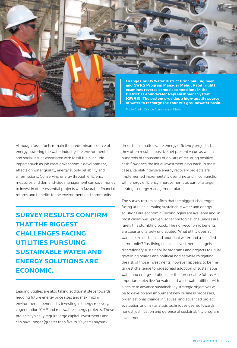

Although fossil fuels remain the predominant source of energy powering the water industry, the environmental and social issues associated with fossil fuels include impacts such as job creation/economic development, effects on water quality, energy supply reliability and air emissions. Conserving energy through efficiency measures and demand-side management can save money to invest in other essential projects with favorable financial returns and benefits to the environment and community.

**survey results confir m that the biggest challenges facing utilities pursuing SUSTAINABLE WATER AND ENERGY SOLUTIONS ARE economic.**

Leading utilities are also taking additional steps towards hedging future energy price rises and maximizing environmental benefits by investing in energy recovery, cogeneration/CHP and renewable-energy projects. These projects typically require large capital investments and can have longer (greater than five to 10 years) payback

times than smaller-scale energy efficiency projects, but they often result in positive net present value as well as hundreds of thousands of dollars of recurring positive cash flow once the initial investment pays back. In most cases, capital-intensive energy recovery projects are implemented incrementally over time and in conjunction with energy efficiency improvements as part of a larger strategic energy management plan.

The survey results confirm that the biggest challenges facing utilities pursuing sustainable water and energy solutions are economic. Technologies are available and, in most cases, well-proven, so technological challenges are rarely this stumbling block. The non-economic benefits are clear and largely undisputed: What utility doesn't want clean air, clean and abundant water, and a satisfied community? Justifying financial investment in largely discretionary sustainability programs and projects to utility governing boards and political bodies while mitigating the risk of those investments, however, appears to be the largest challenge to widespread adoption of sustainable water and energy solutions for the foreseeable future. An important objective for water and wastewater utilities with a desire to advance sustainability strategic objectives will be to develop and implement new business processes, organizational change initiatives, and advanced project evaluation and risk analysis techniques geared towards honest justification and defense of sustainability program investments.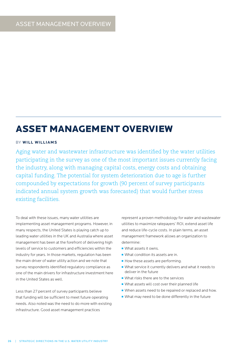## asset management overview

#### By **will williams**

Aging water and wastewater infrastructure was identified by the water utilities participating in the survey as one of the most important issues currently facing the industry, along with managing capital costs, energy costs and obtaining capital funding. The potential for system deterioration due to age is further compounded by expectations for growth (90 percent of survey participants indicated annual system growth was forecasted) that would further stress existing facilities.

To deal with these issues, many water utilities are implementing asset management programs. However, in many respects, the United States is playing catch up to leading water utilities in the UK and Australia where asset management has been at the forefront of delivering high levels of service to customers and efficiencies within the industry for years. In those markets, regulation has been the main driver of water utility action and we note that survey respondents identified regulatory compliance as one of the main drivers for infrastructure investment here in the United States as well.

Less than 27 percent of survey participants believe that funding will be sufficient to meet future operating needs. Also noted was the need to do more with existing infrastructure. Good asset management practices

represent a proven methodology for water and wastewater utilities to maximize ratepayers' ROI, extend asset life and reduce life-cycle costs. In plain terms, an asset management framework allows an organization to determine:

- ■■ What assets it owns.
- ■■ What condition its assets are in.
- How these assets are performing.
- What service it currently delivers and what it needs to deliver in the future
- What risks there are to the services
- What assets will cost over their planned life
- When assets need to be repaired or replaced and how.
- What may need to be done differently in the future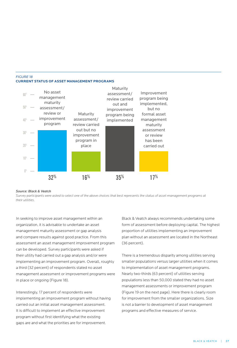



#### *Source: Black & Veatch*

*Survey participants were asked to select one of the above choices that best represents the status of asset management programs at their utilities.*

In seeking to improve asset management within an organization, it is advisable to undertake an asset management maturity assessment or gap analysis and compare results against good practice. From this assessment an asset management improvement program can be developed. Survey participants were asked if their utility had carried out a gap analysis and/or were implementing an improvement program. Overall, roughly a third (32 percent) of respondents stated no asset management assessment or improvement programs were in place or ongoing (Figure 18).

Interestingly, 17 percent of respondents were implementing an improvement program without having carried out an initial asset management assessment. It is difficult to implement an effective improvement program without first identifying what the existing gaps are and what the priorities are for improvement.

Black & Veatch always recommends undertaking some form of assessment before deploying capital. The highest proportion of utilities implementing an improvement plan without an assessment are located in the Northeast (36 percent).

There is a tremendous disparity among utilities serving smaller populations versus larger utilities when it comes to implementation of asset management programs. Nearly two-thirds (63 percent) of utilities serving populations less than 50,000 stated they had no asset management assessments or improvement program (Figure 19 on the next page). Here there is clearly room for improvement from the smaller organizations. Size is not a barrier to development of asset management programs and effective measures of service.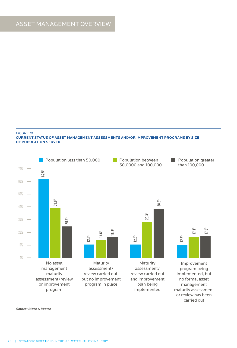### asset management overview

#### *Figure 19* **Curren t Status of Asset Manage ment Assessments and /or Improvement Progra ms by Si ze**  *<u>OF POPULATION SERVED</u>*



*Source: Black & Veatch*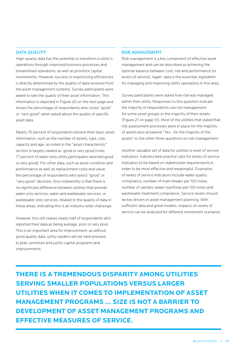#### **DATA QUALITY**

High-quality data has the potential to transform a utility's operations through improved business processes and streamlined operations, as well as prioritize capital investments. However, success in maximizing efficiencies is directly determined by the quality of data received from the asset management systems. Survey participants were asked to rate the quality of their asset information. This information is depicted in Figure 20 on the next page and shows the percentage of respondents who chose "good" or "very good" when asked about the quality of specific asset data.

Nearly 70 percent of respondents believe their basic asset information, such as the number of assets, type, size, capacity and age, as noted in the "asset characteristic" section is largely viewed as good or very good (note: 77 percent of water-only utility participates selected good or very good). For other data, such as asset condition and performance as well as replacement costs and value, the percentage of respondents who select "good" or "very good" declines. Also noteworthy is that there is no significant difference between utilities that provide water only services, water and wastewater services, or wastewater only services, related to the quality of data in these areas, indicating this is an industry-wide challenge.

However, this still leaves nearly half of respondents who reported their data as being average, poor or very poor. This is an important area for improvement, as without good quality data, utility leaders will be hard-pressed to plan, prioritize and justify capital programs and improvements.

#### **RISK MANAGEMENT**

Risk management is a key component of effective asset management and can be described as achieving the optimal balance between cost, risk and performance (or levels of service). Again, data is the essential ingredient for managing and improving utility operations in this area.

Survey participants were asked how risk was managed within their utility. Responses to this question indicate the majority of respondents use risk management for some asset groups or the majority of their assets (Figure 21 on page 31). Most of the utilities that stated that risk assessment processes were in place for the majority of assets also answered "Yes - for the majority of the assets" to the other three questions on risk management.

Another valuable set of data for utilities is level of service indicators. Industry best practice calls for levels of service indicators to be based on stakeholder requirements in order to be most effective and meaningful. Examples of levels of service indicators include water quality compliance, number of main breaks per 100 miles, number of sanitary sewer overflows per 100 miles and wastewater treatment compliance. Service levels should be key drivers in asset management planning. With sufficient data and good models, impacts on levels of service can be analyzed for different investment scenarios.

**There is a tremendous disparity among utilities SERVING SMALLER POPULATIONS VERSUS LARGER UTILITIES WHEN IT COMES TO IMPLEMENTATION OF ASSET manage ment progra ms ... Size is not a barrier to develo pment of asset manage ment progra ms and effective measures of service.**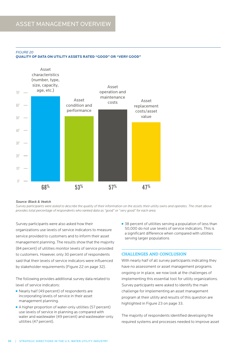### asset management overview

#### *Figure 20* **quali ty of da ta on utili ty assets ra ted "good " or "very Good "**



#### *Source: Black & Veatch*

*Survey participants were asked to describe the quality of their information on the assets their utility owns and operates. The chart above provides total percentage of respondents who ranked data as "good" or "very good" for each area.*

Survey participants were also asked how their organizations use levels of service indicators to measure service provided to customers and to inform their asset management planning. The results show that the majority (84 percent) of utilities monitor levels of service provided to customers. However, only 30 percent of respondents said that their levels of service indicators were influenced by stakeholder requirements (Figure 22 on page 32).

The following provides additional survey data related to level of service indicators:

- Nearly half (49 percent) of respondents are incorporating levels of service in their asset management planning.
- A higher proportion of water-only utilities (57 percent) use levels of service in planning as compared with water and wastewater (49 percent) and wastewater-only utilities (47 percent).

■ 38 percent of utilities serving a population of less than 50,000 do not use levels of service indicators. This is a significant difference when compared with utilities serving larger populations

#### **CHALLENGES AND CONCLUSION**

With nearly half of all survey participants indicating they have no assessment or asset management programs ongoing or in place, we now look at the challenges of implementing this essential tool for utility organizations. Survey participants were asked to identify the main challenge for implementing an asset management program at their utility and results of this question are highlighted in Figure 23 on page 33.

The majority of respondents identified developing the required systems and processes needed to improve asset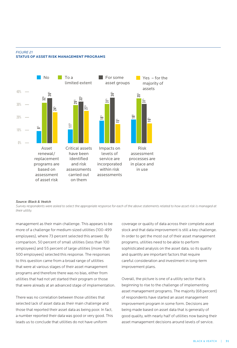

#### *Figure 21* **STATUS OF ASSET RISK MANAGEMENT PROGRAMS**

#### *Source: Black & Veatch*

*Survey respondents were asked to select the appropriate response for each of the above statements related to how asset risk is managed at their utility.*

management as their main challenge. This appears to be more of a challenge for medium-sized utilities (100-499 employees), where 73 percent selected this answer. By comparison, 50 percent of small utilities (less than 100 employees) and 55 percent of large utilities (more than 500 employees) selected this response. The responses to this question came from a broad range of utilities that were at various stages of their asset management programs and therefore there was no bias, either from utilities that had not yet started their program or those that were already at an advanced stage of implementation.

There was no correlation between those utilities that selected lack of asset data as their main challenge and those that reported their asset data as being poor. In fact, a number reported their data was good or very good. This leads us to conclude that utilities do not have uniform

coverage or quality of data across their complete asset stock and that data improvement is still a key challenge. In order to get the most out of their asset management programs, utilities need to be able to perform sophisticated analysis on the asset data, so its quality and quantity are important factors that require careful consideration and investment in long-term improvement plans.

Overall, the picture is one of a utility sector that is beginning to rise to the challenge of implementing asset management programs. The majority (68 percent) of respondents have started an asset management improvement program in some form. Decisions are being made based on asset data that is generally of good quality, with nearly half of utilities now basing their asset management decisions around levels of service.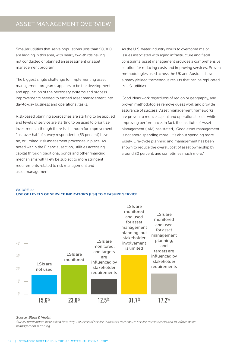### asset management overview

Smaller utilities that serve populations less than 50,000 are lagging in this area, with nearly two-thirds having not conducted or planned an assessment or asset management program.

The biggest single challenge for implementing asset management programs appears to be the development and application of the necessary systems and process improvements needed to embed asset management into day-to-day business and operational tasks.

Risk-based planning approaches are starting to be applied and levels of service are starting to be used to prioritize investment, although there is still room for improvement. Just over half of survey respondents (53 percent) have no, or limited, risk assessment processes in place. As noted within the Financial section, utilities accessing capital through traditional bonds and other financing mechanisms will likely be subject to more stringent requirements related to risk management and asset management.

As the U.S. water industry works to overcome major issues associated with aging infrastructure and fiscal constraints, asset management provides a comprehensive solution for reducing costs and improving services. Proven methodologies used across the UK and Australia have already yielded tremendous results that can be replicated in U.S. utilities.

Good ideas work regardless of region or geography, and proven methodologies remove guess work and provide assurance of success. Asset management frameworks are proven to reduce capital and operational costs while improving performance. In fact, the Institute of Asset Management (IAM) has stated, "Good asset management is not about spending more—it's about spending more wisely. Life-cycle planning and management has been shown to reduce the overall cost of asset ownership by around 30 percent, and sometimes much more."

#### *Figure 22*

**Use of Levels of Ser vice Indica tors (LSI) to Mea sure Ser vice**



#### *Source: Black & Veatch*

*Survey participants were asked how they use levels of service indicators to measure service to customers and to inform asset management planning.*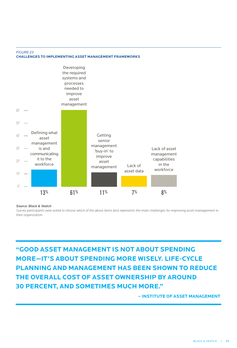#### *Figure 23*  **Challenge s to Implementing Asset Manage ment Framewor ks**



*Source: Black & Veatch*

*Survey participants were asked to choose which of the above items best represents the main challenges for improving asset management in their organization.*

## **"good asset manage ment is not about spending more—it's about spending more wisely. life-cycle planning and manage ment has been shown to reduce THE OVERALL COST OF ASSET OWNERSHIP BY AROUND 30 PERCENT, AND SOMETIMES MUCH MORE."**

 **– institute of asset manage ment**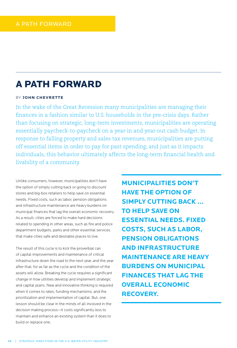## a path forward

#### By **john chevrette**

In the wake of the Great Recession many municipalities are managing their finances in a fashion similar to U.S. households in the pre-crisis days. Rather than focusing on strategic, long-term investments, municipalities are operating essentially paycheck-to-paycheck on a year-in and year-out cash budget. In response to falling property and sales tax revenues, municipalities are putting off essential items in order to pay for past spending, and just as it impacts individuals, this behavior ultimately affects the long-term financial health and livability of a community.

Unlike consumers, however, municipalities don't have the option of simply cutting back or going to discount stores and big-box retailers to help save on essential needs. Fixed costs, such as labor, pension obligations and infrastructure maintenance are heavy burdens on municipal finances that lag the overall economic recovery. As a result, cities are forced to make hard decisions related to spending in other areas, such as fire and police department budgets, parks and other essential services that make cities safe and desirable places to live.

The result of this cycle is to kick the proverbial can of capital improvements and maintenance of critical infrastructure down the road to the next year, and the year after that, for as far as the cycle and the condition of the assets will allow. Breaking the cycle requires a significant change in how utilities develop and implement strategic and capital plans. New and innovative thinking is required when it comes to rates, funding mechanisms, and the prioritization and implementation of capital. But, one lesson should be clear in the minds of all involved in the decision making process—it costs significantly less to maintain and enhance an existing system than it does to build or replace one.

**municipalities don 't have the option of SIMPLY CUTTING BACK ... to help save on essential needs. fixed costs, such as LABOR. pension obliga tions and infra struc ture maintenance are heavy burdens on municipal finances that lag the OVERALL ECONOMIC recovery.**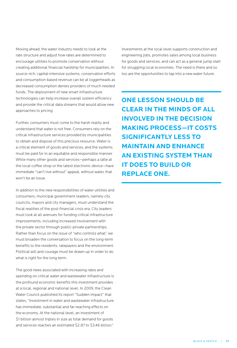Moving ahead, the water industry needs to look at the rate structure and adjust how rates are determined to encourage utilities to promote conservation without creating additional financial hardship for municipalities. In source-rich, capital-intensive systems, conservation efforts and consumption-based revenue can be at loggerheads as decreased consumption denies providers of much needed funds. The deployment of new smart infrastructure technologies can help increase overall system efficiency and provide the critical data streams that would allow new approaches to pricing.

Further, consumers must come to the harsh reality and understand that water is not free. Consumers rely on the critical infrastructure services provided by municipalities to obtain and dispose of this precious resource. Water is a critical element of goods and services, and the systems must be paid for in an equitable and responsible manner. While many other goods and services—perhaps a latte at the local coffee shop or the latest electronic device—have immediate "can't live without" appeal, without water, that won't be an issue.

In addition to the new responsibilities of water utilities and consumers, municipal government leaders, namely city councils, mayors and city managers, must understand the fiscal realities of the post-financial crisis era. City leaders must look at all avenues for funding critical infrastructure improvements, including increased involvement with the private sector through public-private partnerships. Rather than focus on the issue of "who controls what," we must broaden the conversation to focus on the long-term benefits to the residents, ratepayers and the environment. Political will and courage must be drawn up in order to do what is right for the long term.

The good news associated with increasing rates and spending on critical water and wastewater infrastructure is the profound economic benefits this investment provides at a local, regional and national level. In 2009, the Clean Water Council published its report "Sudden Impact" that states, "Investment in water and wastewater infrastructure has immediate, substantial and far-reaching effects on the economy. At the national level, an investment of \$1 billion almost triples in size as total demand for goods and services reaches an estimated \$2.87 to \$3.46 billion."

Investments at the local level supports construction and engineering jobs, promotes sales among local business for goods and services, and can act as a general jump start for struggling local economies. The need is there and so too are the opportunities to tap into a new water future.

**one lesson should be clear in the minds of all involved in the decision MAKING PROCESS-IT COSTS SIGNIFICANTLY LESS TO maintain and enhance an existing system thaN it does to build or replace one.**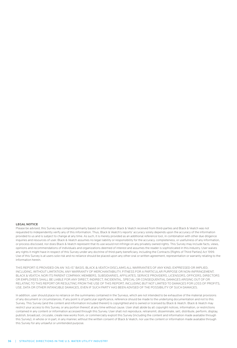#### **Legal Notice**

Please be advised, this Survey was complied primarily based on information Black & Veatch received from third-parties and Black & Veatch was not requested to independently verify any of this information. Thus, Black & Veatch's reports' accuracy solely depends upon the accuracy of the information provided to us and is subject to change at any time. As such, it is merely provided as an additional reference tool, in combination with other due diligence inquiries and resources of user. Black & Veatch assumes no legal liability or responsibility for the accuracy, completeness, or usefulness of any information, or process disclosed, nor does Black & Veatch represent that its use would not infringe on any privately owned rights. This Survey may include facts, views, opinions and recommendations of individuals and organizations deemed of interest and assumes the reader is sophisticated in this industry. User waives any rights it might have in respect of this Survey under any doctrine of third-party beneficiary, including the Contracts (Rights of Third Parties) Act 1999. Use of this Survey is at users sole risk and no reliance should be placed upon any other oral or written agreement, representation or warranty relating to the information herein.

THIS REPORT IS PROVIDED ON AN "AS-IS" BASIS. BLACK & VEATCH DISCLAIMS ALL WARRANTIES OF ANY KIND, EXPRESSED OR IMPLIED, INCLUDING, WITHOUT LIMITATION, ANY WARRANTY OF MERCHANTABILITY, FITNESS FOR A PARTICULAR PURPOSE OR NON-INFRINGEMENT. BLACK & VEATCH, NOR ITS PARENT COMPANY, MEMBERS, SUBSIDIARIES, AFFILIATES, SERVICE PROVIDERS, LICENSORS, OFFICERS, DIRECTORS OR EMPLOYEES SHALL BE LIABLE FOR ANY DIRECT, INDIRECT, INCIDENTAL, SPECIAL OR CONSEQUENTIAL DAMAGES ARISING OUT OF OR RELATING TO THIS REPORT OR RESULTING FROM THE USE OF THIS REPORT, INCLUDING BUT NOT LIMITED TO DAMAGES FOR LOSS OF PROFITS, USE, DATA OR OTHER INTANGIBLE DAMAGES, EVEN IF SUCH PARTY HAS BEEN ADVISED OF THE POSSIBILITY OF SUCH DAMAGES.

In addition, user should place no reliance on the summaries contained in the Surveys, which are not intended to be exhaustive of the material provisions of any document or circumstances. If any point is of particular significance, reference should be made to the underlying documentation and not to this Survey. This Survey (and the content and information included therein) is copyrighted and is owned or licensed by Black & Veatch. Black & Veatch may restrict your access to this Survey, or any portion thereof, at any time without cause. User shall abide by all copyright notices, information, or restrictions contained in any content or information accessed through this Survey. User shall not reproduce, retransmit, disseminate, sell, distribute, perform, display, publish, broadcast, circulate, create new works from, or commercially exploit this Survey (including the content and information made available through this Survey), in whole or in part, in any manner, without the written consent of Black & Veatch, nor use the content or information made available through this Survey for any unlawful or unintended purpose.